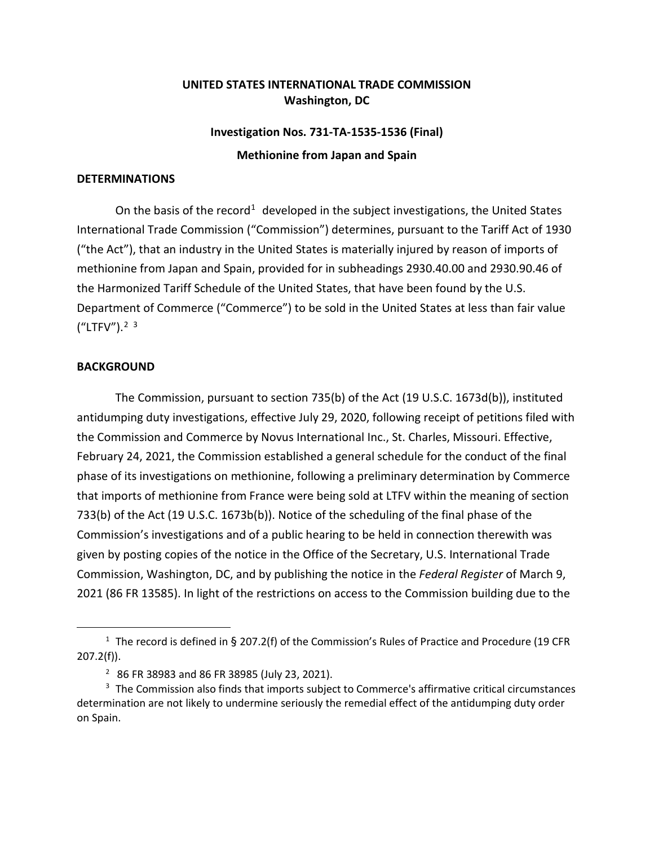## **UNITED STATES INTERNATIONAL TRADE COMMISSION Washington, DC**

## **Investigation Nos. 731-TA-1535-1536 (Final) Methionine from Japan and Spain**

## **DETERMINATIONS**

On the basis of the record<sup>[1](#page-0-0)</sup> developed in the subject investigations, the United States International Trade Commission ("Commission") determines, pursuant to the Tariff Act of 1930 ("the Act"), that an industry in the United States is materially injured by reason of imports of methionine from Japan and Spain, provided for in subheadings 2930.40.00 and 2930.90.46 of the Harmonized Tariff Schedule of the United States, that have been found by the U.S. Department of Commerce ("Commerce") to be sold in the United States at less than fair value  $(''LTFV'')$ .<sup>[2](#page-0-1) [3](#page-0-2)</sup>

## **BACKGROUND**

The Commission, pursuant to section 735(b) of the Act (19 U.S.C. 1673d(b)), instituted antidumping duty investigations, effective July 29, 2020, following receipt of petitions filed with the Commission and Commerce by Novus International Inc., St. Charles, Missouri. Effective, February 24, 2021, the Commission established a general schedule for the conduct of the final phase of its investigations on methionine, following a preliminary determination by Commerce that imports of methionine from France were being sold at LTFV within the meaning of section 733(b) of the Act (19 U.S.C. 1673b(b)). Notice of the scheduling of the final phase of the Commission's investigations and of a public hearing to be held in connection therewith was given by posting copies of the notice in the Office of the Secretary, U.S. International Trade Commission, Washington, DC, and by publishing the notice in the *Federal Register* of March 9, 2021 (86 FR 13585). In light of the restrictions on access to the Commission building due to the

<span id="page-0-0"></span><sup>&</sup>lt;sup>1</sup> The record is defined in § 207.2(f) of the Commission's Rules of Practice and Procedure (19 CFR  $207.2(f)$ ).

<sup>2</sup> 86 FR 38983 and 86 FR 38985 (July 23, 2021).

<span id="page-0-2"></span><span id="page-0-1"></span><sup>&</sup>lt;sup>3</sup> The Commission also finds that imports subject to Commerce's affirmative critical circumstances determination are not likely to undermine seriously the remedial effect of the antidumping duty order on Spain.